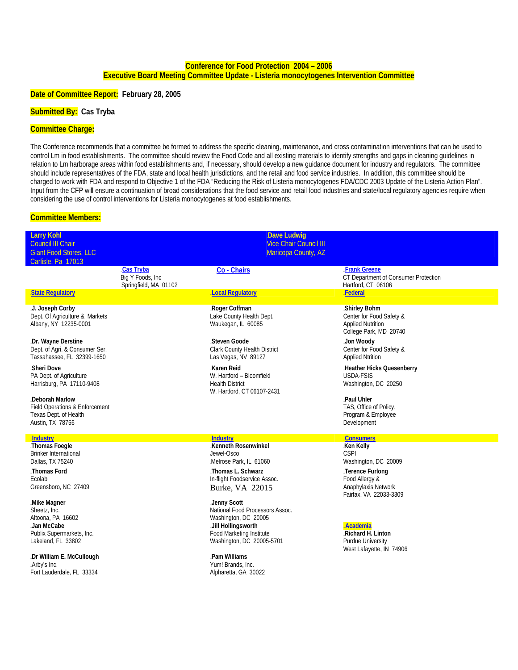### **Conference for Food Protection 2004 – 2006 Executive Board Meeting Committee Update - Listeria monocytogenes Intervention Committee**

#### **Date of Committee Report: February 28, 2005**

# **Submitted By: Cas Tryba**

#### **Committee Charge:**

The Conference recommends that a committee be formed to address the specific cleaning, maintenance, and cross contamination interventions that can be used to control Lm in food establishments. The committee should review the Food Code and all existing materials to identify strengths and gaps in cleaning guidelines in relation to Lm harborage areas within food establishments and, if necessary, should develop a new guidance document for industry and regulators. The committee should include representatives of the FDA, state and local health jurisdictions, and the retail and food service industries. In addition, this committee should be charged to work with FDA and respond to Objective 1 of the FDA "Reducing the Risk of Listeria monocytogenes FDA/CDC 2003 Update of the Listeria Action Plan". Input from the CFP will ensure a continuation of broad considerations that the food service and retail food industries and state/local regulatory agencies require when considering the use of control interventions for Listeria monocytogenes at food establishments.

#### **Committee Members:**

| <b>Larry Kohl</b><br><b>Council III Chair</b><br><b>Giant Food Stores, LLC</b><br>Carlisle, Pa 17013                                                                                                              |                                                         | <b>Dave Ludwig</b><br><b>Vice Chair Council III</b><br>Maricopa County, AZ                                                                                                                                                                                      |                                                                                                                                                                          |
|-------------------------------------------------------------------------------------------------------------------------------------------------------------------------------------------------------------------|---------------------------------------------------------|-----------------------------------------------------------------------------------------------------------------------------------------------------------------------------------------------------------------------------------------------------------------|--------------------------------------------------------------------------------------------------------------------------------------------------------------------------|
|                                                                                                                                                                                                                   | Cas Tryba<br>Big Y Foods, Inc.<br>Springfield, MA 01102 | Co - Chairs                                                                                                                                                                                                                                                     | <b>Frank Greene</b><br>CT Department of Consumer Protection<br>Hartford, CT 06106                                                                                        |
| <b>State Requlatory</b>                                                                                                                                                                                           |                                                         | <b>Local Requlatory</b>                                                                                                                                                                                                                                         | Federal                                                                                                                                                                  |
| J. Joseph Corby<br>Dept. Of Agriculture & Markets<br>Albany, NY 12235-0001                                                                                                                                        |                                                         | Roger Coffman<br>Lake County Health Dept.<br>Waukegan, IL 60085                                                                                                                                                                                                 | .Shirley Bohm<br>Center for Food Safety &<br><b>Applied Nutrition</b><br>College Park, MD 20740                                                                          |
| .Dr. Wayne Derstine<br>Dept. of Agri. & Consumer Ser.<br>Tassahassee, FL 32399-1650                                                                                                                               |                                                         | Steven Goode<br><b>Clark County Health District</b><br>Las Vegas, NV 89127                                                                                                                                                                                      | Jon Woody<br>Center for Food Safety &<br><b>Applied Ntrition</b>                                                                                                         |
| Sheri Dove<br>PA Dept. of Agriculture<br>Harrisburg, PA 17110-9408                                                                                                                                                |                                                         | Karen Reid<br>W. Hartford - Bloomfield<br><b>Health District</b><br>W. Hartford, CT 06107-2431                                                                                                                                                                  | Heather Hicks Quesenberry<br>USDA-FSIS<br>Washington, DC 20250                                                                                                           |
| .Deborah Marlow<br>Field Operations & Enforcement<br>Texas Dept. of Health<br>Austin, TX 78756                                                                                                                    |                                                         |                                                                                                                                                                                                                                                                 | Paul Uhler<br>TAS, Office of Policy,<br>Program & Employee<br>Development                                                                                                |
| <b>Industry</b>                                                                                                                                                                                                   |                                                         | <b>Industry</b>                                                                                                                                                                                                                                                 | <b>Consumers</b>                                                                                                                                                         |
| Thomas Foegle<br><b>Brinker International</b><br>Dallas, TX 75240<br>Thomas Ford<br>Ecolab<br>Greensboro, NC 27409<br>Mike Magner<br>Sheetz, Inc.<br>Altoona, PA 16602<br>Jan McCabe<br>Publix Supermarkets, Inc. |                                                         | Kenneth Rosenwinkel<br>Jewel-Osco<br>Melrose Park, IL 61060<br>Thomas L. Schwarz<br>In-flight Foodservice Assoc.<br>Burke, VA 22015<br>Jenny Scott<br>National Food Processors Assoc.<br>Washington, DC 20005<br>Jill Hollingsworth<br>Food Marketing Institute | Ken Kelly<br><b>CSPI</b><br>Washington, DC 20009<br>Terence Furlong<br>Food Allergy &<br>Anaphylaxis Network<br>Fairfax, VA 22033-3309<br>Academia<br>.Richard H. Linton |
| Lakeland, FL 33802                                                                                                                                                                                                |                                                         | Washington, DC 20005-5701                                                                                                                                                                                                                                       | Purdue University<br>West Lafayette, IN 74906                                                                                                                            |
| .Dr William E. McCullough<br>Arby's Inc.<br>Fort Lauderdale, FL 33334                                                                                                                                             |                                                         | Pam Williams<br>Yum! Brands, Inc.<br>Alpharetta, GA 30022                                                                                                                                                                                                       |                                                                                                                                                                          |
|                                                                                                                                                                                                                   |                                                         |                                                                                                                                                                                                                                                                 |                                                                                                                                                                          |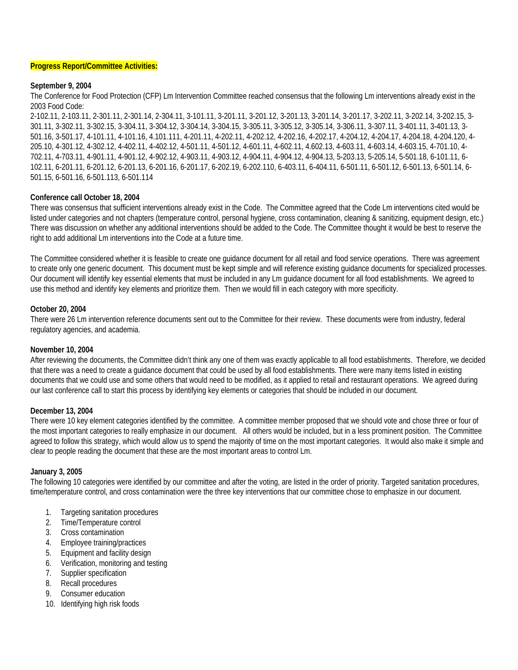#### **Progress Report/Committee Activities:**

## **September 9, 2004**

The Conference for Food Protection (CFP) Lm Intervention Committee reached consensus that the following Lm interventions already exist in the 2003 Food Code:

2-102.11, 2-103.11, 2-301.11, 2-301.14, 2-304.11, 3-101.11, 3-201.11, 3-201.12, 3-201.13, 3-201.14, 3-201.17, 3-202.11, 3-202.14, 3-202.15, 3- 301.11, 3-302.11, 3-302.15, 3-304.11, 3-304.12, 3-304.14, 3-304.15, 3-305.11, 3-305.12, 3-305.14, 3-306.11, 3-307.11, 3-401.11, 3-401.13, 3- 501.16, 3-501.17, 4-101.11, 4-101.16, 4.101.111, 4-201.11, 4-202.11, 4-202.12, 4-202.16, 4-202.17, 4-204.12, 4-204.17, 4-204.18, 4-204.120, 4- 205.10, 4-301.12, 4-302.12, 4-402.11, 4-402.12, 4-501.11, 4-501.12, 4-601.11, 4-602.11, 4.602.13, 4-603.11, 4-603.14, 4-603.15, 4-701.10, 4- 702.11, 4-703.11, 4-901.11, 4-901.12, 4-902.12, 4-903.11, 4-903.12, 4-904.11, 4-904.12, 4-904.13, 5-203.13, 5-205.14, 5-501.18, 6-101.11, 6- 102.11, 6-201.11, 6-201.12, 6-201.13, 6-201.16, 6-201.17, 6-202.19, 6-202.110, 6-403.11, 6-404.11, 6-501.11, 6-501.12, 6-501.13, 6-501.14, 6- 501.15, 6-501.16, 6-501.113, 6-501.114

### **Conference call October 18, 2004**

There was consensus that sufficient interventions already exist in the Code. The Committee agreed that the Code Lm interventions cited would be listed under categories and not chapters (temperature control, personal hygiene, cross contamination, cleaning & sanitizing, equipment design, etc.) There was discussion on whether any additional interventions should be added to the Code. The Committee thought it would be best to reserve the right to add additional Lm interventions into the Code at a future time.

The Committee considered whether it is feasible to create one guidance document for all retail and food service operations. There was agreement to create only one generic document. This document must be kept simple and will reference existing guidance documents for specialized processes. Our document will identify key essential elements that must be included in any Lm guidance document for all food establishments. We agreed to use this method and identify key elements and prioritize them. Then we would fill in each category with more specificity.

### **October 20, 2004**

There were 26 Lm intervention reference documents sent out to the Committee for their review. These documents were from industry, federal regulatory agencies, and academia.

### **November 10, 2004**

After reviewing the documents, the Committee didn't think any one of them was exactly applicable to all food establishments. Therefore, we decided that there was a need to create a guidance document that could be used by all food establishments. There were many items listed in existing documents that we could use and some others that would need to be modified, as it applied to retail and restaurant operations. We agreed during our last conference call to start this process by identifying key elements or categories that should be included in our document.

### **December 13, 2004**

There were 10 key element categories identified by the committee. A committee member proposed that we should vote and chose three or four of the most important categories to really emphasize in our document. All others would be included, but in a less prominent position. The Committee agreed to follow this strategy, which would allow us to spend the majority of time on the most important categories. It would also make it simple and clear to people reading the document that these are the most important areas to control Lm.

### **January 3, 2005**

The following 10 categories were identified by our committee and after the voting, are listed in the order of priority. Targeted sanitation procedures, time/temperature control, and cross contamination were the three key interventions that our committee chose to emphasize in our document.

- 1. Targeting sanitation procedures
- 2. Time/Temperature control
- 3. Cross contamination
- 4. Employee training/practices
- 5. Equipment and facility design
- 6. Verification, monitoring and testing
- 7. Supplier specification
- 8. Recall procedures
- 9. Consumer education
- 10. Identifying high risk foods